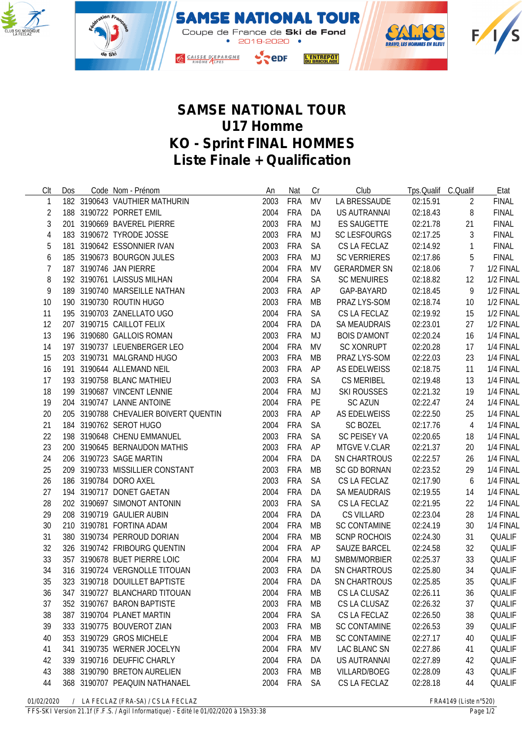



## **SAMSE NATIONAL TOUR U17 Homme KO - Sprint FINAL HOMMES Liste Finale + Qualification**

| Clt            | Dos | Code Nom - Prénom                     | An   | Nat        | Cr        | Club                | Tps.Qualif C.Qualif |                  | Etat          |
|----------------|-----|---------------------------------------|------|------------|-----------|---------------------|---------------------|------------------|---------------|
| 1              |     | 182 3190643 VAUTHIER MATHURIN         | 2003 | <b>FRA</b> | <b>MV</b> | LA BRESSAUDE        | 02:15.91            | 2                | <b>FINAL</b>  |
| $\overline{2}$ |     | 188 3190722 PORRET EMIL               | 2004 | FRA        | DA        | US AUTRANNAI        | 02:18.43            | 8                | <b>FINAL</b>  |
| 3              |     | 201 3190669 BAVEREL PIERRE            | 2003 | FRA        | MJ        | <b>ES SAUGETTE</b>  | 02:21.78            | 21               | <b>FINAL</b>  |
| $\overline{4}$ |     | 183 3190672 TYRODE JOSSE              | 2003 | FRA        | MJ        | <b>SC LESFOURGS</b> | 02:17.25            | 3                | <b>FINAL</b>  |
| 5              |     | 181 3190642 ESSONNIER IVAN            | 2003 | FRA        | <b>SA</b> | CS LA FECLAZ        | 02:14.92            | $\mathbf{1}$     | <b>FINAL</b>  |
| 6              |     | 185 3190673 BOURGON JULES             | 2003 | <b>FRA</b> | MJ        | <b>SC VERRIERES</b> | 02:17.86            | 5                | <b>FINAL</b>  |
| $\overline{1}$ |     | 187 3190746 JAN PIERRE                | 2004 | <b>FRA</b> | <b>MV</b> | <b>GERARDMER SN</b> | 02:18.06            | $\overline{7}$   | 1/2 FINAL     |
| 8              |     | 192 3190761 LAISSUS MILHAN            | 2004 | <b>FRA</b> | <b>SA</b> | <b>SC MENUIRES</b>  | 02:18.82            | 12               | 1/2 FINAL     |
| 9              |     | 189 3190740 MARSEILLE NATHAN          | 2003 | FRA        | AP        | GAP-BAYARD          | 02:18.45            | 9                | 1/2 FINAL     |
| 10             |     | 190 3190730 ROUTIN HUGO               | 2003 | FRA        | MB        | PRAZ LYS-SOM        | 02:18.74            | 10               | 1/2 FINAL     |
| 11             |     | 195 3190703 ZANELLATO UGO             | 2004 | FRA        | <b>SA</b> | CS LA FECLAZ        | 02:19.92            | 15               | 1/2 FINAL     |
| 12             |     | 207 3190715 CAILLOT FELIX             | 2004 | FRA        | DA        | <b>SA MEAUDRAIS</b> | 02:23.01            | 27               | 1/2 FINAL     |
| 13             |     | 196 3190680 GALLOIS ROMAN             | 2003 | FRA        | MJ        | <b>BOIS D'AMONT</b> | 02:20.24            | 16               | 1/4 FINAL     |
| 14             |     | 197 3190737 LEUENBERGER LEO           | 2004 | <b>FRA</b> | MV        | <b>SC XONRUPT</b>   | 02:20.28            | 17               | 1/4 FINAL     |
| 15             |     | 203 3190731 MALGRAND HUGO             | 2003 | FRA        | MB        | PRAZ LYS-SOM        | 02:22.03            | 23               | 1/4 FINAL     |
| 16             |     | 191 3190644 ALLEMAND NEIL             | 2003 | FRA        | AP        | AS EDELWEISS        | 02:18.75            | 11               | 1/4 FINAL     |
| 17             |     | 193 3190758 BLANC MATHIEU             | 2003 | FRA        | <b>SA</b> | <b>CS MERIBEL</b>   | 02:19.48            | 13               | 1/4 FINAL     |
| 18             |     | 199 3190687 VINCENT LENNIE            | 2004 | FRA        | MJ        | <b>SKI ROUSSES</b>  | 02:21.32            | 19               | 1/4 FINAL     |
| 19             |     | 204 3190747 LANNE ANTOINE             | 2004 | FRA        | PE        | <b>SC AZUN</b>      | 02:22.47            | 24               | 1/4 FINAL     |
| 20             |     | 205 3190788 CHEVALIER BOIVERT QUENTIN | 2003 | FRA        | AP        | AS EDELWEISS        | 02:22.50            | 25               | 1/4 FINAL     |
| 21             |     | 184 3190762 SEROT HUGO                | 2004 | FRA        | <b>SA</b> | <b>SC BOZEL</b>     | 02:17.76            | $\overline{4}$   | 1/4 FINAL     |
| 22             |     | 198 3190648 CHENU EMMANUEL            | 2003 | <b>FRA</b> | <b>SA</b> | SC PEISEY VA        | 02:20.65            | 18               | 1/4 FINAL     |
| 23             |     | 200 3190645 BERNAUDON MATHIS          | 2003 | <b>FRA</b> | AP        | MTGVE V.CLAR        | 02:21.37            | 20               | 1/4 FINAL     |
| 24             |     | 206 3190723 SAGE MARTIN               | 2004 | <b>FRA</b> | DA        | SN CHARTROUS        | 02:22.57            | 26               | 1/4 FINAL     |
| 25             |     | 209 3190733 MISSILLIER CONSTANT       | 2003 | FRA        | <b>MB</b> | <b>SC GD BORNAN</b> | 02:23.52            | 29               | 1/4 FINAL     |
| 26             |     | 186 3190784 DORO AXEL                 | 2003 | FRA        | <b>SA</b> | CS LA FECLAZ        | 02:17.90            | $\boldsymbol{6}$ | 1/4 FINAL     |
| 27             |     | 194 3190717 DONET GAETAN              | 2004 | FRA        | DA        | <b>SA MEAUDRAIS</b> | 02:19.55            | 14               | 1/4 FINAL     |
| 28             |     | 202 3190697 SIMONOT ANTONIN           | 2003 | FRA        | <b>SA</b> | CS LA FECLAZ        | 02:21.95            | 22               | 1/4 FINAL     |
| 29             |     | 208 3190719 GAULIER AUBIN             | 2004 | FRA        | DA        | <b>CS VILLARD</b>   | 02:23.04            | 28               | 1/4 FINAL     |
| 30             |     | 210 3190781 FORTINA ADAM              | 2004 | <b>FRA</b> | <b>MB</b> | <b>SC CONTAMINE</b> | 02:24.19            | 30               | 1/4 FINAL     |
| 31             |     | 380 3190734 PERROUD DORIAN            | 2004 | <b>FRA</b> | MB        | <b>SCNP ROCHOIS</b> | 02:24.30            | 31               | QUALIF        |
| 32             |     | 326 3190742 FRIBOURG QUENTIN          | 2004 | FRA        | AP        | <b>SAUZE BARCEL</b> | 02:24.58            | 32               | QUALIF        |
| 33             |     | 357 3190678 BUET PIERRE LOIC          | 2004 | FRA        | MJ        | SMBM/MORBIER        | 02:25.37            | 33               | <b>QUALIF</b> |
| 34             |     | 316 3190724 VERGNOLLE TITOUAN         | 2003 | <b>FRA</b> | DA        | <b>SN CHARTROUS</b> | 02:25.80            | 34               | <b>QUALIF</b> |
| 35             |     | 323 3190718 DOUILLET BAPTISTE         | 2004 | FRA        | DA        | <b>SN CHARTROUS</b> | 02:25.85            | 35               | QUALIF        |
| 36             |     | 347 3190727 BLANCHARD TITOUAN         | 2004 | <b>FRA</b> | MB        | CS LA CLUSAZ        | 02:26.11            | 36               | QUALIF        |
| 37             |     | 352 3190767 BARON BAPTISTE            | 2003 | <b>FRA</b> | МB        | CS LA CLUSAZ        | 02:26.32            | 37               | <b>QUALIF</b> |
| 38             |     | 387 3190704 PLANET MARTIN             | 2004 | <b>FRA</b> | <b>SA</b> | CS LA FECLAZ        | 02:26.50            | 38               | <b>QUALIF</b> |
| 39             |     | 333 3190775 BOUVEROT ZIAN             | 2003 | <b>FRA</b> | <b>MB</b> | <b>SC CONTAMINE</b> | 02:26.53            | 39               | QUALIF        |
| 40             |     | 353 3190729 GROS MICHELE              | 2004 | <b>FRA</b> | MB        | <b>SC CONTAMINE</b> | 02:27.17            | 40               | QUALIF        |
| 41             |     | 341 3190735 WERNER JOCELYN            | 2004 | FRA        | <b>MV</b> | <b>LAC BLANC SN</b> | 02:27.86            | 41               | QUALIF        |
| 42             |     | 339 3190716 DEUFFIC CHARLY            | 2004 | FRA        | DA        | <b>US AUTRANNAI</b> | 02:27.89            | 42               | QUALIF        |
| 43             |     | 388 3190790 BRETON AURELIEN           | 2003 | FRA        | MB        | <b>VILLARD/BOEG</b> | 02:28.09            | 43               | QUALIF        |
| 44             |     | 368 3190707 PEAQUIN NATHANAEL         | 2004 | <b>FRA</b> | <b>SA</b> | CS LA FECLAZ        | 02:28.18            | 44               | QUALIF        |
|                |     |                                       |      |            |           |                     |                     |                  |               |

*01/02/2020 / LA FECLAZ (FRA-SA) / CS LA FECLAZ FRA4149 (Liste n°520)*

*FFS-SKI Version 21.1f (F.F.S. / Agil Informatique) - Edité le 01/02/2020 à 15h33:38 Page 1/2*